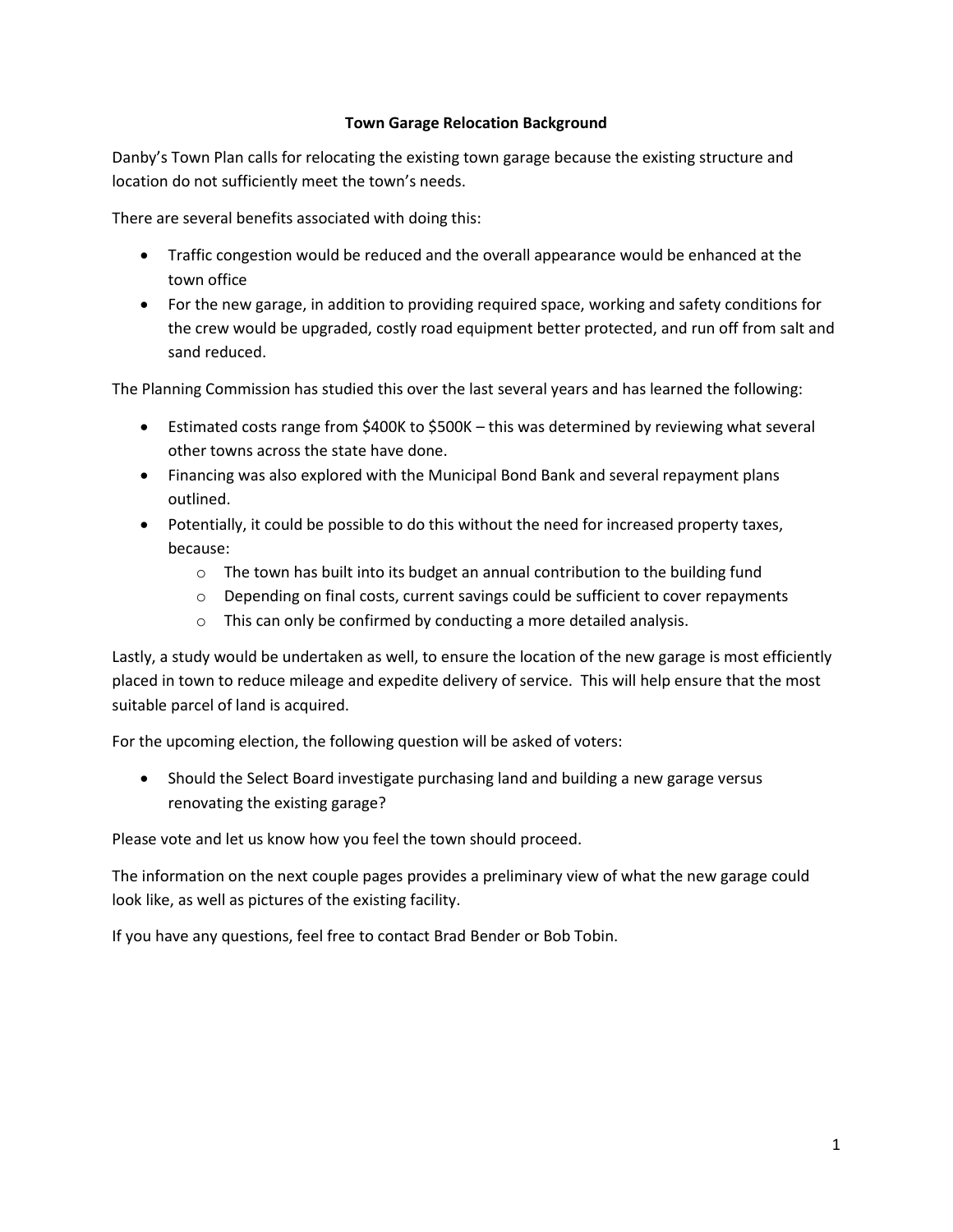## **Town Garage Relocation Background**

Danby's Town Plan calls for relocating the existing town garage because the existing structure and location do not sufficiently meet the town's needs.

There are several benefits associated with doing this:

- Traffic congestion would be reduced and the overall appearance would be enhanced at the town office
- For the new garage, in addition to providing required space, working and safety conditions for the crew would be upgraded, costly road equipment better protected, and run off from salt and sand reduced.

The Planning Commission has studied this over the last several years and has learned the following:

- Estimated costs range from \$400K to \$500K this was determined by reviewing what several other towns across the state have done.
- Financing was also explored with the Municipal Bond Bank and several repayment plans outlined.
- Potentially, it could be possible to do this without the need for increased property taxes, because:
	- o The town has built into its budget an annual contribution to the building fund
	- $\circ$  Depending on final costs, current savings could be sufficient to cover repayments
	- $\circ$  This can only be confirmed by conducting a more detailed analysis.

Lastly, a study would be undertaken as well, to ensure the location of the new garage is most efficiently placed in town to reduce mileage and expedite delivery of service. This will help ensure that the most suitable parcel of land is acquired.

For the upcoming election, the following question will be asked of voters:

• Should the Select Board investigate purchasing land and building a new garage versus renovating the existing garage?

Please vote and let us know how you feel the town should proceed.

The information on the next couple pages provides a preliminary view of what the new garage could look like, as well as pictures of the existing facility.

If you have any questions, feel free to contact Brad Bender or Bob Tobin.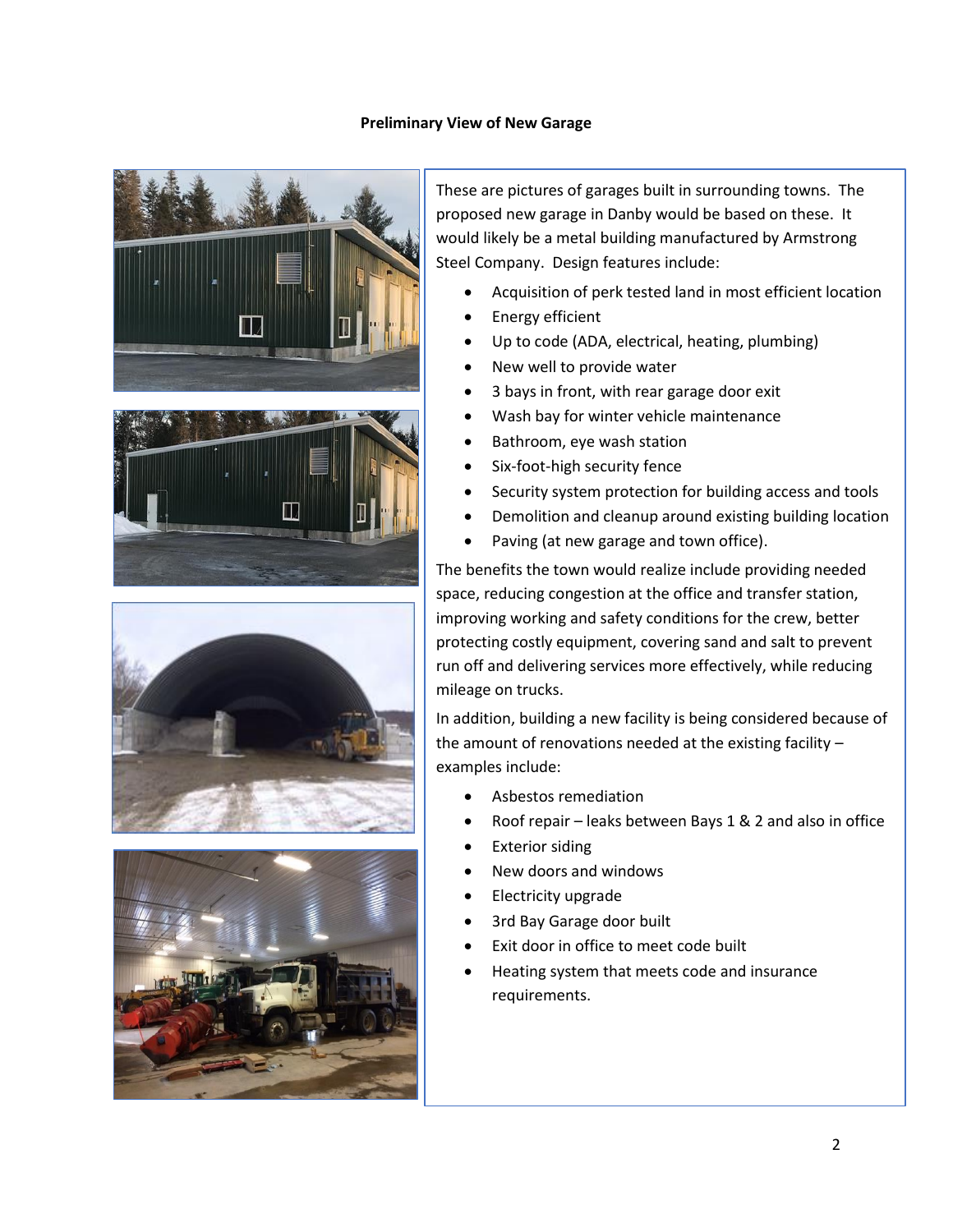## **Preliminary View of New Garage**





These are pictures of garages built in surrounding towns. The proposed new garage in Danby would be based on these. It would likely be a metal building manufactured by Armstrong Steel Company. Design features include:

- Acquisition of perk tested land in most efficient location
- Energy efficient
- Up to code (ADA, electrical, heating, plumbing)
- New well to provide water
- 3 bays in front, with rear garage door exit
- Wash bay for winter vehicle maintenance
- Bathroom, eye wash station
- Six-foot-high security fence
- Security system protection for building access and tools
- Demolition and cleanup around existing building location
- Paving (at new garage and town office).

The benefits the town would realize include providing needed space, reducing congestion at the office and transfer station, improving working and safety conditions for the crew, better protecting costly equipment, covering sand and salt to prevent run off and delivering services more effectively, while reducing mileage on trucks.

In addition, building a new facility is being considered because of the amount of renovations needed at the existing facility – examples include:

- Asbestos remediation
- Roof repair leaks between Bays 1 & 2 and also in office
- **Exterior siding**
- New doors and windows
- Electricity upgrade
- 3rd Bay Garage door built
- Exit door in office to meet code built
- Heating system that meets code and insurance requirements.